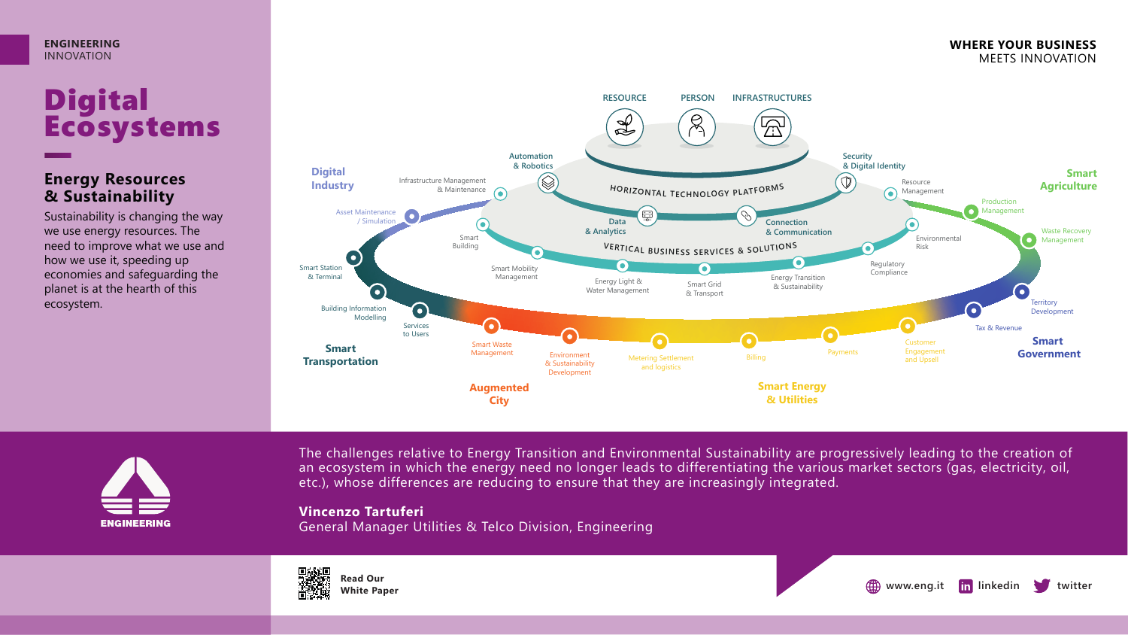

## **Digital** Ecosystems

### **Energy Resources & Sustainability**

Sustainability is changing the way we use energy resources. The need to improve what we use and how we use it, speeding up economies and safeguarding the planet is at the hearth of this ecosystem.





The challenges relative to Energy Transition and Environmental Sustainability are progressively leading to the creation of an ecosystem in which the energy need no longer leads to differentiating the various market sectors (gas, electricity, oil, etc.), whose differences are reducing to ensure that they are increasingly integrated.

#### **Vincenzo Tartuferi**

General Manager Utilities & Telco Division, Engineering





**WHERE YOUR BUSINESS** MEETS INNOVATION